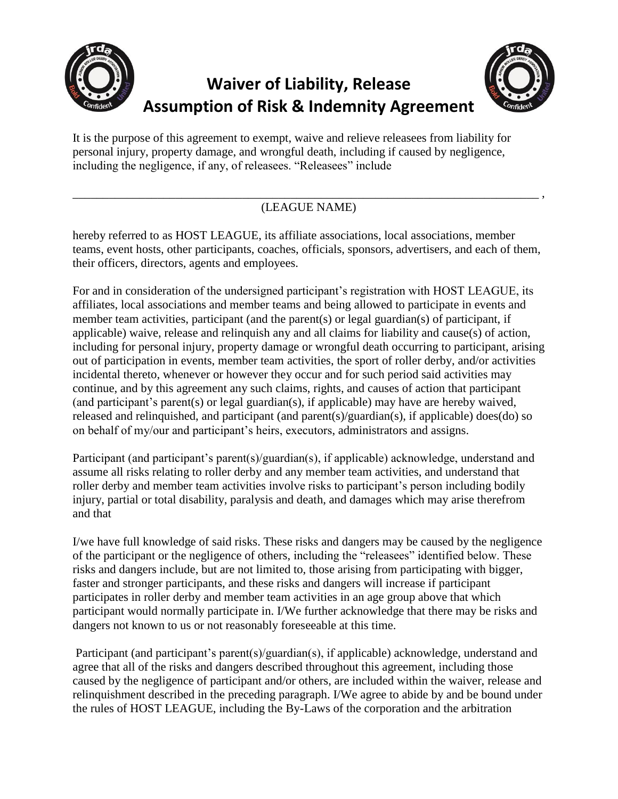

## **Waiver of Liability, Release Assumption of Risk & Indemnity Agreement**



It is the purpose of this agreement to exempt, waive and relieve releasees from liability for personal injury, property damage, and wrongful death, including if caused by negligence, including the negligence, if any, of releasees. "Releasees" include

## \_\_\_\_\_\_\_\_\_\_\_\_\_\_\_\_\_\_\_\_\_\_\_\_\_\_\_\_\_\_\_\_\_\_\_\_\_\_\_\_\_\_\_\_\_\_\_\_\_\_\_\_\_\_\_\_\_\_\_\_\_\_\_\_\_\_\_\_\_\_\_\_\_\_\_\_\_ , (LEAGUE NAME)

hereby referred to as HOST LEAGUE, its affiliate associations, local associations, member teams, event hosts, other participants, coaches, officials, sponsors, advertisers, and each of them, their officers, directors, agents and employees.

For and in consideration of the undersigned participant's registration with HOST LEAGUE, its affiliates, local associations and member teams and being allowed to participate in events and member team activities, participant (and the parent(s) or legal guardian(s) of participant, if applicable) waive, release and relinquish any and all claims for liability and cause(s) of action, including for personal injury, property damage or wrongful death occurring to participant, arising out of participation in events, member team activities, the sport of roller derby, and/or activities incidental thereto, whenever or however they occur and for such period said activities may continue, and by this agreement any such claims, rights, and causes of action that participant (and participant's parent(s) or legal guardian(s), if applicable) may have are hereby waived, released and relinquished, and participant (and parent(s)/guardian(s), if applicable) does(do) so on behalf of my/our and participant's heirs, executors, administrators and assigns.

Participant (and participant's parent(s)/guardian(s), if applicable) acknowledge, understand and assume all risks relating to roller derby and any member team activities, and understand that roller derby and member team activities involve risks to participant's person including bodily injury, partial or total disability, paralysis and death, and damages which may arise therefrom and that

I/we have full knowledge of said risks. These risks and dangers may be caused by the negligence of the participant or the negligence of others, including the "releasees" identified below. These risks and dangers include, but are not limited to, those arising from participating with bigger, faster and stronger participants, and these risks and dangers will increase if participant participates in roller derby and member team activities in an age group above that which participant would normally participate in. I/We further acknowledge that there may be risks and dangers not known to us or not reasonably foreseeable at this time.

Participant (and participant's parent(s)/guardian(s), if applicable) acknowledge, understand and agree that all of the risks and dangers described throughout this agreement, including those caused by the negligence of participant and/or others, are included within the waiver, release and relinquishment described in the preceding paragraph. I/We agree to abide by and be bound under the rules of HOST LEAGUE, including the By-Laws of the corporation and the arbitration